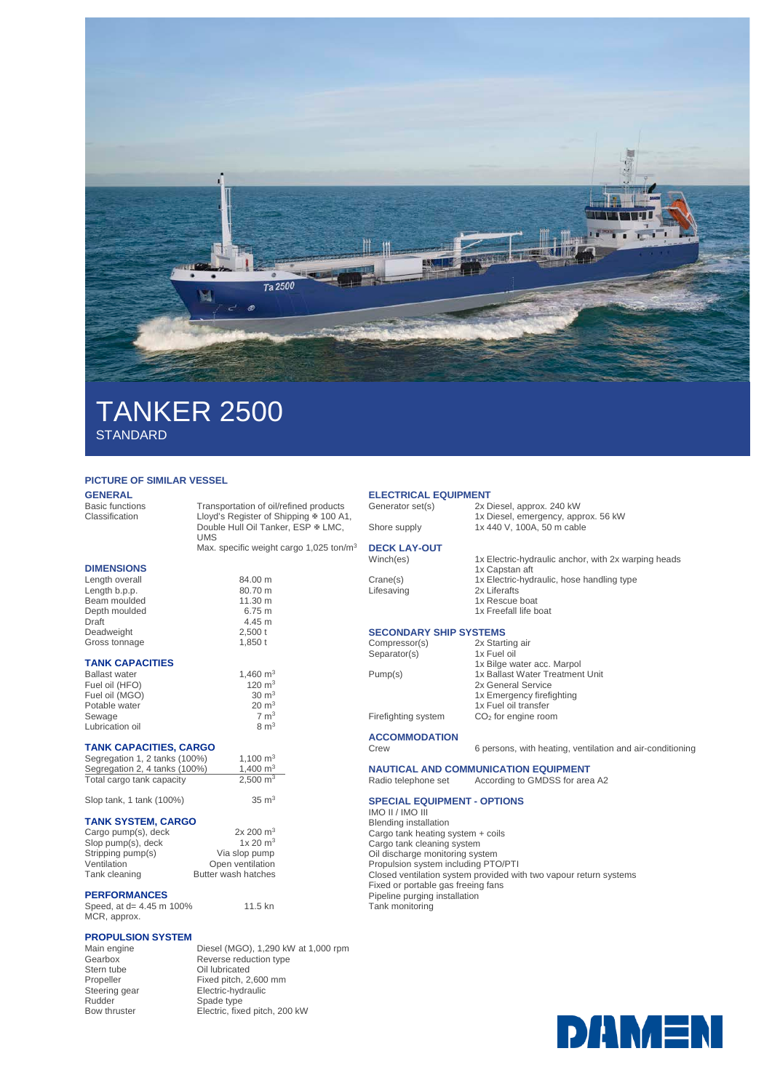

# TANKER 2500 **STANDARD**

### **PICTURE OF SIMILAR VESSEL**

### **GENERAL**<br>Basic functions

Basic functions Transportation of oil/refined products<br>Classification Lloyd's Register of Shipping # 100 A Lloyd's Register of Shipping  $\overline{x}$  100 A1, Double Hull Oil Tanker, ESP & LMC, UMS

Max. specific weight cargo 1,025 ton/m<sup>3</sup>

| <b>DIMENSIONS</b>      |                   |
|------------------------|-------------------|
| Length overall         | 84.00 m           |
| Length b.p.p.          | 80.70 m           |
| Beam moulded           | $11.30 \text{ m}$ |
| Depth moulded          | 6.75 m            |
| Draft                  | 4.45 m            |
| Deadweight             | $2,500$ t         |
| Gross tonnage          | 1.850t            |
| <b>TANK CAPACITIES</b> |                   |
| Rallast water          | $1.460$ m         |

| <b>Ballast water</b> | 1.460 $m3$       |
|----------------------|------------------|
| Fuel oil (HFO)       | 120 $m3$         |
| Fuel oil (MGO)       | $30 \text{ m}^3$ |
| Potable water        | $20 \text{ m}^3$ |
| Sewage               | $7 \text{ m}^3$  |
| Lubrication oil      | $8 \text{ m}^3$  |

#### **TANK CAPACITIES, CARGO**

| Segregation 1, 2 tanks (100%) | 1.100 $m3$          |
|-------------------------------|---------------------|
| Segregation 2, 4 tanks (100%) | 1.400 $m3$          |
| Total cargo tank capacity     | $2,500 \text{ m}^3$ |

Slop tank, 1 tank  $(100\%)$  35 m<sup>3</sup>

### **TANK SYSTEM, CARGO**

| Cargo pump(s), deck | 2x 200 m <sup>3</sup> |
|---------------------|-----------------------|
| Slop pump(s), deck  | 1x 20 m <sup>3</sup>  |
| Stripping pump(s)   | Via slop pump         |
| Ventilation         | Open ventilation      |
| Tank cleaning       | Butter wash hatches   |
|                     |                       |

### **PERFORMANCES**

Speed, at d= 4.45 m 100% MCR, approx. 11.5 kn

# **PROPULSION SYSTEM**

Stern tube Oil lubricated<br>Propeller Fixed pitch, 2, Steering gear<br>
Rudder
Spade type<br>
Spade type Rudder Spade type

Main engine Diesel (MGO), 1,290 kW at 1,000 rpm<br>Gearbox Reverse reduction type Gearbox Reverse reduction type<br>
Stern tube Cill Iubricated Propeller Fixed pitch, 2,600 mm<br>Steering gear Electric-hydraulic Bow thruster Electric, fixed pitch, 200 kW

### **ELECTRICAL EQUIPMENT**<br>Generator set(s) 2x D

2x Diesel, approx. 240 kW

1x Diesel, emergency, approx. 56 kW Shore supply 1x 440 V, 100A, 50 m cable

1x Electric-hydraulic anchor, with 2x warping heads

Crane(s) 1x Electric-hydraulic, hose handling type<br>Lifesaving 2x Liferafts Lifesaving

**DECK LAY-OUT**

- - 1x Rescue boat 1x Freefall life boat

1x Capstan aft

#### **SECONDARY SHIP SYSTEMS** Compresso

| Compressor(s)       | 2x Starting air                 |
|---------------------|---------------------------------|
| Separator(s)        | 1x Fuel oil                     |
|                     | 1x Bilge water acc. Marpol      |
| Pump(s)             | 1x Ballast Water Treatment Unit |
|                     | 2x General Service              |
|                     | 1x Emergency firefighting       |
|                     | 1x Fuel oil transfer            |
| Firefighting system | $CO2$ for engine room           |
|                     |                                 |

### **ACCOMMODATION**

6 persons, with heating, ventilation and air-conditioning

**NAUTICAL AND COMMUNICATION EQUIPMENT**<br>Radio telephone set According to GMDSS for area According to GMDSS for area A2

#### **SPECIAL EQUIPMENT - OPTIONS**

IMO II / IMO III Blending installation Cargo tank heating system + coils Cargo tank cleaning system Oil discharge monitoring system Propulsion system including PTO/PTI Closed ventilation system provided with two vapour return systems Fixed or portable gas freeing fans Pipeline purging installation Tank monitoring